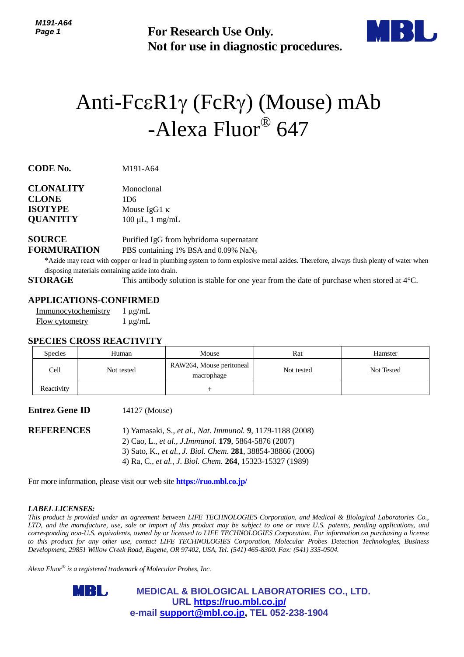

# Anti-FcεR1γ (FcRγ) (Mouse) mAb -Alexa Fluor® 647

| <b>CLONALITY</b> | Monoclonal            |
|------------------|-----------------------|
| <b>CLONE</b>     | 1D6                   |
| <b>ISOTYPE</b>   | Mouse $IgG1 \kappa$   |
| <b>QUANTITY</b>  | $100 \mu L$ , 1 mg/mL |

## **SOURCE** Purified IgG from hybridoma supernatant **FORMURATION** PBS containing 1% BSA and 0.09% NaN<sub>3</sub>

## **APPLICATIONS-CONFIRMED**

| Immunocytochemistry | $1 \mu g/mL$ |
|---------------------|--------------|
| Flow cytometry      | $1 \mu g/mL$ |

#### **SPECIES CROSS REACTIVITY**

| Page 1                                                 |                                                                                                  | <b>For Research Use Only.</b><br>Not for use in diagnostic procedures.                                                                                                                                                                                                                                                                                                                                                                                                                                                                                                                                                                            |            |            |  |
|--------------------------------------------------------|--------------------------------------------------------------------------------------------------|---------------------------------------------------------------------------------------------------------------------------------------------------------------------------------------------------------------------------------------------------------------------------------------------------------------------------------------------------------------------------------------------------------------------------------------------------------------------------------------------------------------------------------------------------------------------------------------------------------------------------------------------------|------------|------------|--|
|                                                        |                                                                                                  | Anti-FcεR1γ (FcRγ) (Mouse) mAb<br>-Alexa Fluor® 647                                                                                                                                                                                                                                                                                                                                                                                                                                                                                                                                                                                               |            |            |  |
| CODE No.                                               | M191-A64                                                                                         |                                                                                                                                                                                                                                                                                                                                                                                                                                                                                                                                                                                                                                                   |            |            |  |
| CLONALITY<br>CLONE<br><b>SOTYPE</b><br><b>QUANTITY</b> | Monoclonal<br>1D6<br>Mouse IgG1 $\kappa$<br>$100 \mu L$ , 1 mg/mL                                |                                                                                                                                                                                                                                                                                                                                                                                                                                                                                                                                                                                                                                                   |            |            |  |
| <b>SOURCE</b><br>FORMURATION<br><b>STORAGE</b>         | disposing materials containing azide into drain.                                                 | Purified IgG from hybridoma supernatant<br>PBS containing 1% BSA and 0.09% NaN <sub>3</sub><br>*Azide may react with copper or lead in plumbing system to form explosive metal azides. Therefore, always flush plenty of water when                                                                                                                                                                                                                                                                                                                                                                                                               |            |            |  |
| Immunocytochemistry<br>Flow cytometry                  | <b>APPLICATIONS-CONFIRMED</b><br>$1 \mu g/mL$<br>$1 \mu g/mL$<br><b>SPECIES CROSS REACTIVITY</b> |                                                                                                                                                                                                                                                                                                                                                                                                                                                                                                                                                                                                                                                   |            |            |  |
| Species                                                | Human                                                                                            | Mouse                                                                                                                                                                                                                                                                                                                                                                                                                                                                                                                                                                                                                                             | Rat        | Hamster    |  |
| Cell                                                   | Not tested                                                                                       | RAW264, Mouse peritoneal<br>macrophage                                                                                                                                                                                                                                                                                                                                                                                                                                                                                                                                                                                                            | Not tested | Not Tested |  |
| Reactivity                                             |                                                                                                  | $^{+}$                                                                                                                                                                                                                                                                                                                                                                                                                                                                                                                                                                                                                                            |            |            |  |
| <b>Entrez Gene ID</b>                                  | 14127 (Mouse)                                                                                    |                                                                                                                                                                                                                                                                                                                                                                                                                                                                                                                                                                                                                                                   |            |            |  |
| REFERENCES                                             |                                                                                                  | 1) Yamasaki, S., et al., Nat. Immunol. 9, 1179-1188 (2008)<br>2) Cao, L., et al., J.Immunol. 179, 5864-5876 (2007)<br>3) Sato, K., et al., J. Biol. Chem. 281, 38854-38866 (2006)<br>4) Ra, C., et al., J. Biol. Chem. 264, 15323-15327 (1989)                                                                                                                                                                                                                                                                                                                                                                                                    |            |            |  |
|                                                        |                                                                                                  | For more information, please visit our web site <b>https://ruo.mbl.co.jp/</b>                                                                                                                                                                                                                                                                                                                                                                                                                                                                                                                                                                     |            |            |  |
| <i><b>LABEL LICENSES:</b></i>                          |                                                                                                  | This product is provided under an agreement between LIFE TECHNOLOGIES Corporation, and Medical & Biological Laboratories Co.,<br>TD, and the manufacture, use, sale or import of this product may be subject to one or more U.S. patents, pending applications, and<br>corresponding non-U.S. equivalents, owned by or licensed to LIFE TECHNOLOGIES Corporation. For information on purchasing a license<br>o this product for any other use, contact LIFE TECHNOLOGIES Corporation, Molecular Probes Detection Technologies, Business<br>Development, 29851 Willow Creek Road, Eugene, OR 97402, USA, Tel: (541) 465-8300. Fax: (541) 335-0504. |            |            |  |
|                                                        | $\Lambda$ lexa Fluor $^\circledast$ is a registered trademark of Molecular Probes, Inc.          |                                                                                                                                                                                                                                                                                                                                                                                                                                                                                                                                                                                                                                                   |            |            |  |
|                                                        | MBL,                                                                                             | <b>MEDICAL &amp; BIOLOGICAL LABORATORIES CO., LTD.</b>                                                                                                                                                                                                                                                                                                                                                                                                                                                                                                                                                                                            |            |            |  |
|                                                        |                                                                                                  | URL https://ruo.mbl.co.jp/<br>e-mail support@mbl.co.jp, TEL 052-238-1904                                                                                                                                                                                                                                                                                                                                                                                                                                                                                                                                                                          |            |            |  |

#### **Entrez Gene ID** 14127 (Mouse)

#### *LABEL LICENSES:*

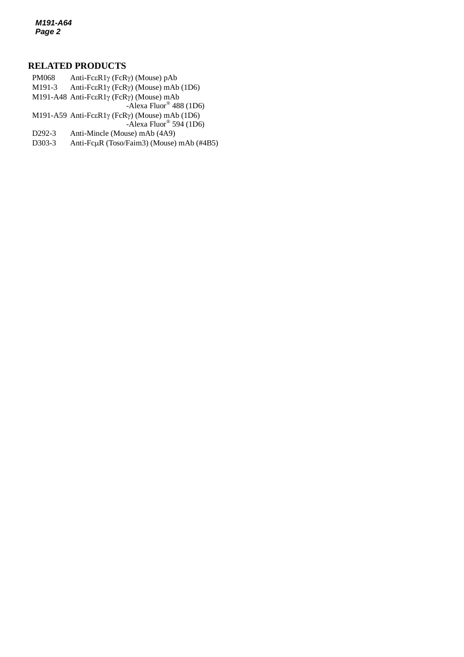*M191-A64 Page 2*

### **RELATED PRODUCTS**

- M191-3 Anti-Fc $\epsilon$ R1 $\gamma$  (FcR $\gamma$ ) (Mouse) mAb (1D6) PM068 Anti-Fc $\epsilon$ R1 $\gamma$  (FcR $\gamma$ ) (Mouse) pAb M191-A48 Anti-Fc $\epsilon$ R1 $\gamma$  (FcR $\gamma$ ) (Mouse) mAb -Alexa Fluor® 488 (1D6) M191-A59 Anti-FcεR1γ (FcRγ) (Mouse) mAb (1D6) -Alexa Fluor® 594 (1D6) D292-3 Anti-Mincle (Mouse) mAb (4A9)
- D303-3 Anti-Fc $\mu$ R (Toso/Faim3) (Mouse) mAb (#4B5)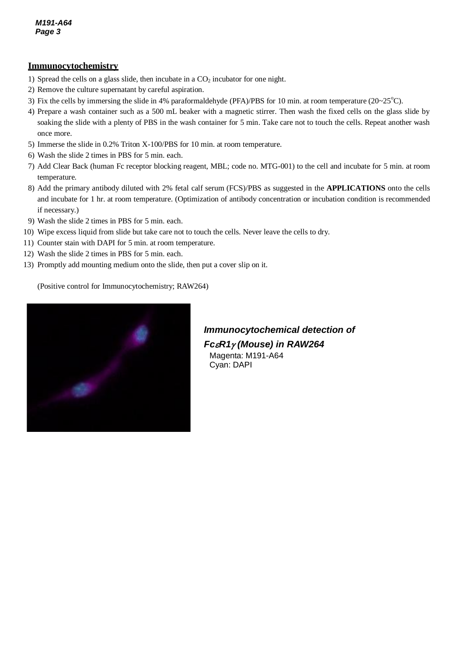#### **Immunocytochemistry**

- 1) Spread the cells on a glass slide, then incubate in a  $CO<sub>2</sub>$  incubator for one night.
- 2) Remove the culture supernatant by careful aspiration.
- 3) Fix the cells by immersing the slide in 4% paraformaldehyde (PFA)/PBS for 10 min. at room temperature ( $20~25^{\circ}$ C).
- 4) Prepare a wash container such as a 500 mL beaker with a magnetic stirrer. Then wash the fixed cells on the glass slide by soaking the slide with a plenty of PBS in the wash container for 5 min. Take care not to touch the cells. Repeat another wash once more.
- 5) Immerse the slide in 0.2% Triton X-100/PBS for 10 min. at room temperature.
- 6) Wash the slide 2 times in PBS for 5 min. each.
- 7) Add Clear Back (human Fc receptor blocking reagent, MBL; code no. MTG-001) to the cell and incubate for 5 min. at room temperature.
- 8) Add the primary antibody diluted with 2% fetal calf serum (FCS)/PBS as suggested in the **APPLICATIONS** onto the cells and incubate for 1 hr. at room temperature. (Optimization of antibody concentration or incubation condition is recommended if necessary.)
- 9) Wash the slide 2 times in PBS for 5 min. each.
- 10) Wipe excess liquid from slide but take care not to touch the cells. Never leave the cells to dry.
- 11) Counter stain with DAPI for 5 min. at room temperature.
- 12) Wash the slide 2 times in PBS for 5 min. each.
- 13) Promptly add mounting medium onto the slide, then put a cover slip on it.

(Positive control for Immunocytochemistry; RAW264)



*Immunocytochemical detection of FcR1 (Mouse) in RAW264* Magenta: M191-A64 Cyan: DAPI